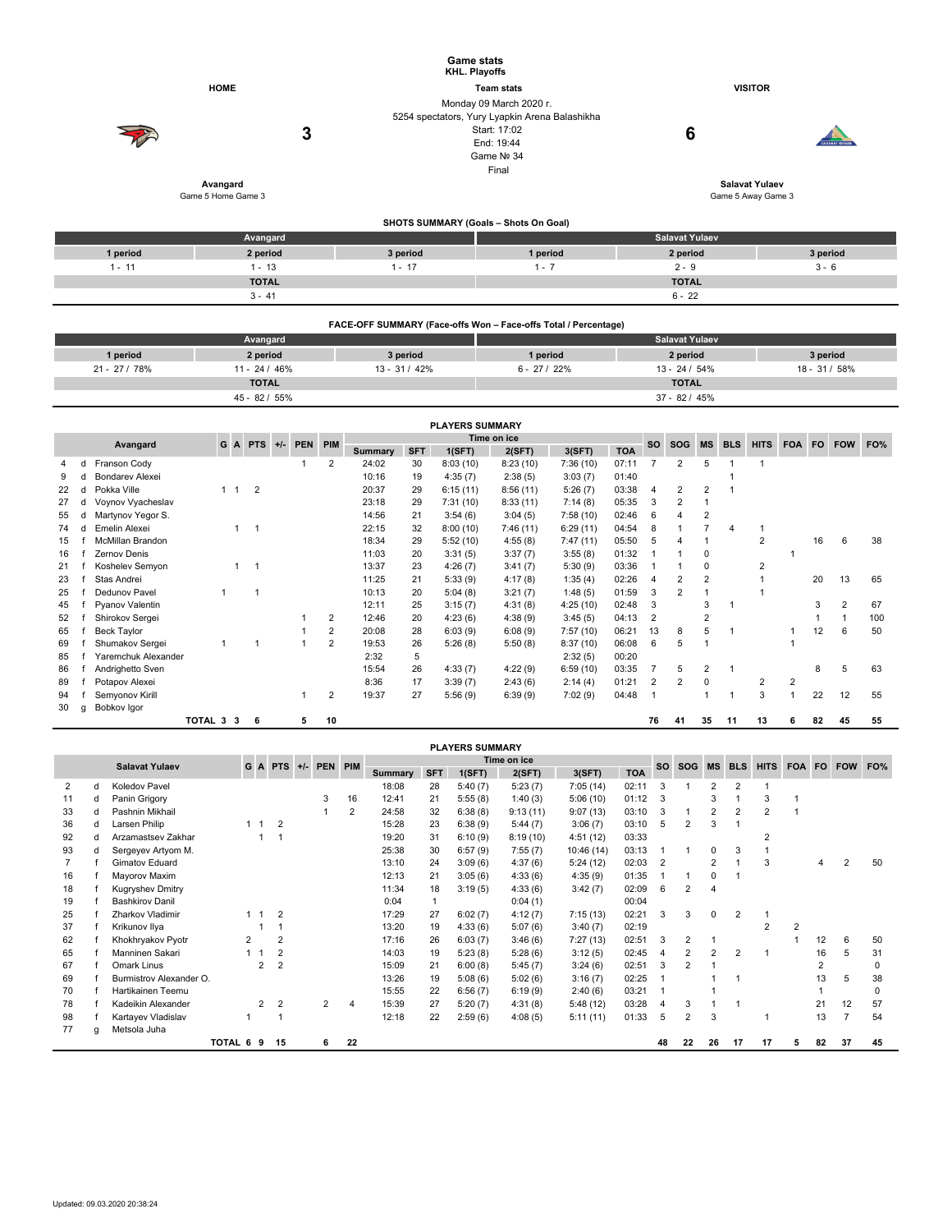|                    |          | <b>Game stats</b><br>KHL. Playoffs                                        |                       |                |
|--------------------|----------|---------------------------------------------------------------------------|-----------------------|----------------|
| <b>HOME</b>        |          | <b>Team stats</b>                                                         | <b>VISITOR</b>        |                |
|                    |          | Monday 09 March 2020 r.<br>5254 spectators, Yury Lyapkin Arena Balashikha |                       |                |
|                    | 3        | Start: 17:02                                                              | 6                     |                |
| V                  |          | End: 19:44                                                                |                       | CARABAT KORAER |
|                    |          | Game Nº 34                                                                |                       |                |
|                    |          | Final                                                                     |                       |                |
| Avangard           |          |                                                                           | <b>Salavat Yulaev</b> |                |
| Game 5 Home Game 3 |          |                                                                           | Game 5 Away Game 3    |                |
|                    |          | SHOTS SUMMARY (Goals - Shots On Goal)                                     |                       |                |
|                    | Avangard |                                                                           | <b>Salavat Yulaev</b> |                |

|                       | Avangara     |                          |          | <b>Calgary</b> Paracy |               |
|-----------------------|--------------|--------------------------|----------|-----------------------|---------------|
| 1 period              | 2 period     | 3 period                 | 1 period | 2 period              | 3 period      |
| $\overline{A}$<br>. . | 1 - 13       | $\overline{A}$<br>$\sim$ | $\sim$   | $2 - 9$               | $\sim$<br>კ-ხ |
|                       | <b>TOTAL</b> |                          |          | <b>TOTAL</b>          |               |
|                       | $3 - 41$     |                          |          | $6 - 22$              |               |
|                       |              |                          |          |                       |               |

|               |                 | FACE-OFF SUMMARY (Face-offs Won - Face-offs Total / Percentage) |              |                       |               |
|---------------|-----------------|-----------------------------------------------------------------|--------------|-----------------------|---------------|
|               | Avangard        |                                                                 |              | <b>Salavat Yulaev</b> |               |
| 1 period      | 2 period        | 3 period                                                        | 1 period     | 2 period              | 3 period      |
| $21 - 27/78%$ | $11 - 24 / 46%$ | $13 - 31/42%$                                                   | $6 - 27/22%$ | $13 - 24 / 54%$       | 18 - 31 / 58% |
|               | <b>TOTAL</b>    |                                                                 |              | <b>TOTAL</b>          |               |
|               | 45 - 82 / 55%   |                                                                 |              | $37 - 82 / 45%$       |               |

|    | <b>PLAYERS SUMMARY</b>                                |                         |           |             |                |  |   |                |         |            |          |          |           |            |                |            |                |            |                |            |     |                |     |
|----|-------------------------------------------------------|-------------------------|-----------|-------------|----------------|--|---|----------------|---------|------------|----------|----------|-----------|------------|----------------|------------|----------------|------------|----------------|------------|-----|----------------|-----|
|    | Time on ice<br>GA<br>$PTS +/-$<br>PEN PIM<br>Avangard |                         |           |             |                |  |   |                |         |            |          |          | <b>SO</b> | <b>SOG</b> | MS             | <b>BLS</b> | <b>HITS</b>    | <b>FOA</b> | <b>FO</b>      | <b>FOW</b> | FO% |                |     |
|    |                                                       |                         |           |             |                |  |   |                | Summary | <b>SFT</b> | 1(SFT)   | 2(SFT)   | 3(SFT)    | <b>TOA</b> |                |            |                |            |                |            |     |                |     |
|    |                                                       | Franson Cody            |           |             |                |  |   | $\overline{2}$ | 24:02   | 30         | 8:03(10) | 8:23(10) | 7:36(10)  | 07:11      |                | 2          | 5              |            |                |            |     |                |     |
|    |                                                       | <b>Bondarev Alexei</b>  |           |             |                |  |   |                | 10:16   | 19         | 4:35(7)  | 2:38(5)  | 3:03(7)   | 01:40      |                |            |                |            |                |            |     |                |     |
| 22 |                                                       | Pokka Ville             |           | $1 \quad 1$ | $\overline{2}$ |  |   |                | 20:37   | 29         | 6:15(11) | 8:56(11) | 5:26(7)   | 03:38      | $\overline{4}$ | 2          | 2              |            |                |            |     |                |     |
| 27 |                                                       | Voynov Vyacheslav       |           |             |                |  |   |                | 23:18   | 29         | 7:31(10) | 8:33(11) | 7:14(8)   | 05:35      | 3              | 2          |                |            |                |            |     |                |     |
| 55 |                                                       | Martynov Yegor S.       |           |             |                |  |   |                | 14:56   | 21         | 3:54(6)  | 3:04(5)  | 7:58(10)  | 02:46      | 6              |            | $\overline{2}$ |            |                |            |     |                |     |
| 74 |                                                       | Emelin Alexei           |           |             | 1              |  |   |                | 22:15   | 32         | 8:00(10) | 7:46(11) | 6:29(11)  | 04:54      | 8              |            |                |            |                |            |     |                |     |
| 15 |                                                       | <b>McMillan Brandon</b> |           |             |                |  |   |                | 18:34   | 29         | 5:52(10) | 4:55(8)  | 7:47(11)  | 05:50      | 5              |            |                |            | 2              |            | 16  | 6              | 38  |
| 16 |                                                       | Zernov Denis            |           |             |                |  |   |                | 11:03   | 20         | 3:31(5)  | 3:37(7)  | 3:55(8)   | 01:32      |                |            | 0              |            |                |            |     |                |     |
| 21 |                                                       | Koshelev Semyon         |           |             | $\mathbf 1$    |  |   |                | 13:37   | 23         | 4:26(7)  | 3:41(7)  | 5:30(9)   | 03:36      |                |            | 0              |            | 2              |            |     |                |     |
| 23 |                                                       | Stas Andrei             |           |             |                |  |   |                | 11:25   | 21         | 5:33(9)  | 4:17(8)  | 1:35(4)   | 02:26      | 4              | 2          | 2              |            |                |            | 20  | 13             | 65  |
| 25 |                                                       | Dedunov Pavel           |           |             | -1             |  |   |                | 10:13   | 20         | 5:04(8)  | 3:21(7)  | 1:48(5)   | 01:59      | 3              | 2          |                |            |                |            |     |                |     |
| 45 |                                                       | Pyanov Valentin         |           |             |                |  |   |                | 12:11   | 25         | 3:15(7)  | 4:31(8)  | 4:25(10)  | 02:48      | 3              |            | 3              |            |                |            | 3   | $\overline{2}$ | 67  |
| 52 |                                                       | Shirokov Sergei         |           |             |                |  |   | 2              | 12:46   | 20         | 4:23(6)  | 4:38(9)  | 3:45(5)   | 04:13      | $\overline{2}$ |            | 2              |            |                |            |     |                | 100 |
| 65 |                                                       | <b>Beck Taylor</b>      |           |             |                |  |   | 2              | 20:08   | 28         | 6:03(9)  | 6:08(9)  | 7:57(10)  | 06:21      | 13             | 8          | 5              |            |                |            | 12  | 6              | 50  |
| 69 |                                                       | Shumakov Sergei         |           |             |                |  |   | 2              | 19:53   | 26         | 5:26(8)  | 5:50(8)  | 8:37(10)  | 06:08      | 6              | 5          |                |            |                |            |     |                |     |
| 85 |                                                       | Yaremchuk Alexander     |           |             |                |  |   |                | 2:32    | 5          |          |          | 2:32(5)   | 00:20      |                |            |                |            |                |            |     |                |     |
| 86 |                                                       | Andrighetto Sven        |           |             |                |  |   |                | 15:54   | 26         | 4:33(7)  | 4:22(9)  | 6:59(10)  | 03:35      |                | 5          | $\overline{2}$ |            |                |            | 8   | 5              | 63  |
| 89 |                                                       | Potapov Alexei          |           |             |                |  |   |                | 8:36    | 17         | 3:39(7)  | 2:43(6)  | 2:14(4)   | 01:21      | $\overline{2}$ | 2          | $\Omega$       |            | $\overline{2}$ | 2          |     |                |     |
| 94 |                                                       | Semyonov Kirill         |           |             |                |  |   | 2              | 19:37   | 27         | 5:56(9)  | 6:39(9)  | 7:02(9)   | 04:48      |                |            |                |            | 3              |            | 22  | 12             | 55  |
| 30 | q                                                     | Bobkov Igor             |           |             |                |  |   |                |         |            |          |          |           |            |                |            |                |            |                |            |     |                |     |
|    |                                                       |                         | TOTAL 3 3 |             | 6              |  | 5 | 10             |         |            |          |          |           |            | 76             | 41         | 35             | 11         | 13             | 6          | 82  | 45             | 55  |

|    | <b>PLAYERS SUMMARY</b>     |                         |   |                |                 |  |         |                |                |            |         |             |            |            |           |                |                |                |             |                |                |            |          |
|----|----------------------------|-------------------------|---|----------------|-----------------|--|---------|----------------|----------------|------------|---------|-------------|------------|------------|-----------|----------------|----------------|----------------|-------------|----------------|----------------|------------|----------|
|    |                            | <b>Salavat Yulaev</b>   |   |                | $G$ A PTS $+/-$ |  | PEN PIM |                |                |            |         | Time on ice |            |            | <b>SO</b> | SOG MS         |                | <b>BLS</b>     | <b>HITS</b> |                |                | FOA FO FOW | FO%      |
|    |                            |                         |   |                |                 |  |         |                | <b>Summary</b> | <b>SFT</b> | 1(SFT)  | 2(SFT)      | 3(SFT)     | <b>TOA</b> |           |                |                |                |             |                |                |            |          |
| 2  | d                          | Koledov Pavel           |   |                |                 |  |         |                | 18:08          | 28         | 5:40(7) | 5:23(7)     | 7:05(14)   | 02:11      | 3         |                | $\overline{2}$ | $\overline{2}$ |             |                |                |            |          |
| 11 | d                          | Panin Grigory           |   |                |                 |  | 3       | 16             | 12:41          | 21         | 5:55(8) | 1:40(3)     | 5:06(10)   | 01:12      | 3         |                | 3              |                | 3           |                |                |            |          |
| 33 |                            | Pashnin Mikhail         |   |                |                 |  |         | 2              | 24:58          | 32         | 6:38(8) | 9:13(11)    | 9:07(13)   | 03:10      | 3         | 1              | $\overline{2}$ |                | 2           |                |                |            |          |
| 36 | d                          | Larsen Philip           |   |                | $\overline{2}$  |  |         |                | 15:28          | 23         | 6:38(9) | 5:44(7)     | 3:06(7)    | 03:10      | 5         | 2              | 3              |                |             |                |                |            |          |
| 92 |                            | Arzamastsev Zakhar      |   |                |                 |  |         |                | 19:20          | 31         | 6:10(9) | 8:19(10)    | 4:51(12)   | 03:33      |           |                |                |                |             |                |                |            |          |
| 93 | d                          | Sergeyev Artyom M.      |   |                |                 |  |         |                | 25:38          | 30         | 6:57(9) | 7:55(7)     | 10:46 (14) | 03:13      |           |                | $\Omega$       | 3              |             |                |                |            |          |
|    |                            | Gimatov Eduard          |   |                |                 |  |         |                | 13:10          | 24         | 3:09(6) | 4:37(6)     | 5:24(12)   | 02:03      | 2         |                | 2              |                | 3           |                |                |            | 50       |
| 16 |                            | Mayorov Maxim           |   |                |                 |  |         |                | 12:13          | 21         | 3:05(6) | 4:33(6)     | 4:35(9)    | 01:35      |           |                | 0              |                |             |                |                |            |          |
| 18 |                            | Kugryshev Dmitry        |   |                |                 |  |         |                | 11:34          | 18         | 3:19(5) | 4:33(6)     | 3:42(7)    | 02:09      | 6         | 2              | 4              |                |             |                |                |            |          |
| 19 |                            | <b>Bashkirov Danil</b>  |   |                |                 |  |         |                | 0:04           | 1          |         | 0:04(1)     |            | 00:04      |           |                |                |                |             |                |                |            |          |
| 25 |                            | Zharkov Vladimir        |   |                | $\overline{2}$  |  |         |                | 17:29          | 27         | 6:02(7) | 4:12(7)     | 7:15(13)   | 02:21      | 3         | 3              | 0              | $\overline{2}$ |             |                |                |            |          |
| 37 |                            | Krikunov Ilya           |   |                |                 |  |         |                | 13:20          | 19         | 4:33(6) | 5:07(6)     | 3:40(7)    | 02:19      |           |                |                |                | 2           | $\overline{2}$ |                |            |          |
| 62 |                            | Khokhryakov Pyotr       | 2 |                | $\overline{2}$  |  |         |                | 17:16          | 26         | 6:03(7) | 3:46(6)     | 7:27(13)   | 02:51      | 3         | 2              |                |                |             |                | 12             | 6          | 50       |
| 65 |                            | Manninen Sakari         |   |                | $\overline{2}$  |  |         |                | 14:03          | 19         | 5:23(8) | 5:28(6)     | 3:12(5)    | 02:45      | 4         | 2              | $\overline{2}$ | 2              |             |                | 16             | 5          | 31       |
| 67 |                            | Omark Linus             |   | $\overline{2}$ | $\overline{2}$  |  |         |                | 15:09          | 21         | 6:00(8) | 5:45(7)     | 3:24(6)    | 02:51      | 3         | 2              |                |                |             |                | $\overline{2}$ |            |          |
| 69 |                            | Burmistrov Alexander O. |   |                |                 |  |         |                | 13:26          | 19         | 5:08(6) | 5:02(6)     | 3:16(7)    | 02:25      |           |                |                |                |             |                | 13             | 5          | 38       |
| 70 |                            | Hartikainen Teemu       |   |                |                 |  |         |                | 15:55          | 22         | 6:56(7) | 6:19(9)     | 2:40(6)    | 03:21      |           |                |                |                |             |                |                |            | $\Omega$ |
| 78 |                            | Kadeikin Alexander      |   | $\overline{2}$ | $\overline{2}$  |  | 2       | $\overline{4}$ | 15:39          | 27         | 5:20(7) | 4:31(8)     | 5:48(12)   | 03:28      | 4         | 3              |                |                |             |                | 21             | 12         | 57       |
| 98 |                            | Kartayev Vladislav      |   |                |                 |  |         |                | 12:18          | 22         | 2:59(6) | 4:08(5)     | 5:11(11)   | 01:33      | 5         | $\overline{2}$ | 3              |                |             |                | 13             |            | 54       |
| 77 | a                          | Metsola Juha            |   |                |                 |  |         |                |                |            |         |             |            |            |           |                |                |                |             |                |                |            |          |
|    | TOTAL 6 9<br>22<br>15<br>6 |                         |   |                |                 |  |         |                |                |            |         |             |            | 48         | 22        | 26             | 17             | 17             | 5.          | 82             | 37             | 45         |          |